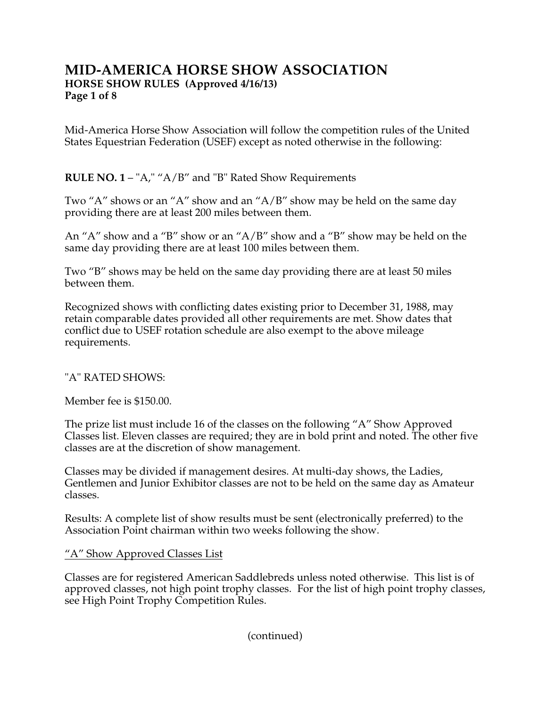# **MID-AMERICA HORSE SHOW ASSOCIATION HORSE SHOW RULES (Approved 4/16/13) Page 1 of 8**

Mid-America Horse Show Association will follow the competition rules of the United States Equestrian Federation (USEF) except as noted otherwise in the following:

## **RULE NO. 1** – "A," "A/B" and "B" Rated Show Requirements

Two "A" shows or an "A" show and an "A/B" show may be held on the same day providing there are at least 200 miles between them.

An "A" show and a "B" show or an "A/B" show and a "B" show may be held on the same day providing there are at least 100 miles between them.

Two "B" shows may be held on the same day providing there are at least 50 miles between them.

Recognized shows with conflicting dates existing prior to December 31, 1988, may retain comparable dates provided all other requirements are met. Show dates that conflict due to USEF rotation schedule are also exempt to the above mileage requirements.

### "A" RATED SHOWS:

Member fee is \$150.00.

The prize list must include 16 of the classes on the following "A" Show Approved Classes list. Eleven classes are required; they are in bold print and noted. The other five classes are at the discretion of show management.

Classes may be divided if management desires. At multi-day shows, the Ladies, Gentlemen and Junior Exhibitor classes are not to be held on the same day as Amateur classes.

Results: A complete list of show results must be sent (electronically preferred) to the Association Point chairman within two weeks following the show.

## "A" Show Approved Classes List

Classes are for registered American Saddlebreds unless noted otherwise. This list is of approved classes, not high point trophy classes. For the list of high point trophy classes, see High Point Trophy Competition Rules.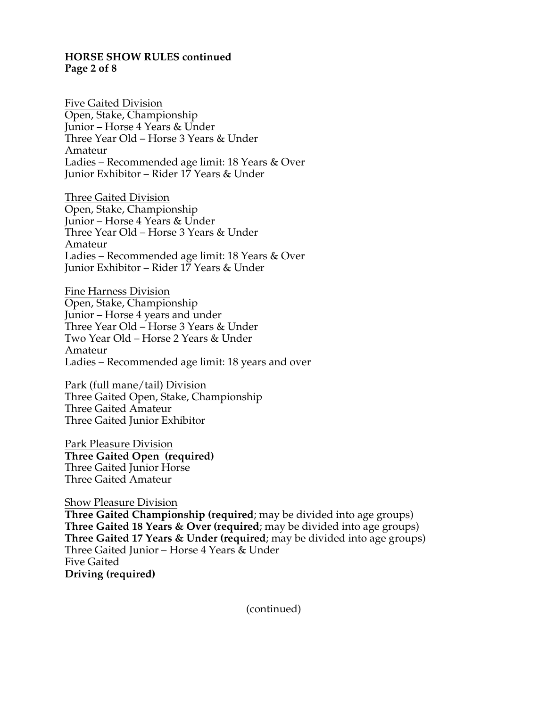#### **HORSE SHOW RULES continued Page 2 of 8**

Five Gaited Division Open, Stake, Championship Junior – Horse 4 Years & Under Three Year Old – Horse 3 Years & Under Amateur Ladies – Recommended age limit: 18 Years & Over Junior Exhibitor – Rider 17 Years & Under

Three Gaited Division Open, Stake, Championship Junior – Horse 4 Years & Under Three Year Old – Horse 3 Years & Under Amateur Ladies – Recommended age limit: 18 Years & Over Junior Exhibitor – Rider 17 Years & Under

Fine Harness Division Open, Stake, Championship Junior – Horse 4 years and under Three Year Old – Horse 3 Years & Under Two Year Old – Horse 2 Years & Under Amateur Ladies – Recommended age limit: 18 years and over

Park (full mane/tail) Division Three Gaited Open, Stake, Championship Three Gaited Amateur Three Gaited Junior Exhibitor

Park Pleasure Division **Three Gaited Open (required)** Three Gaited Junior Horse Three Gaited Amateur

Show Pleasure Division **Three Gaited Championship (required**; may be divided into age groups) **Three Gaited 18 Years & Over (required**; may be divided into age groups) **Three Gaited 17 Years & Under (required**; may be divided into age groups) Three Gaited Junior – Horse 4 Years & Under Five Gaited **Driving (required)**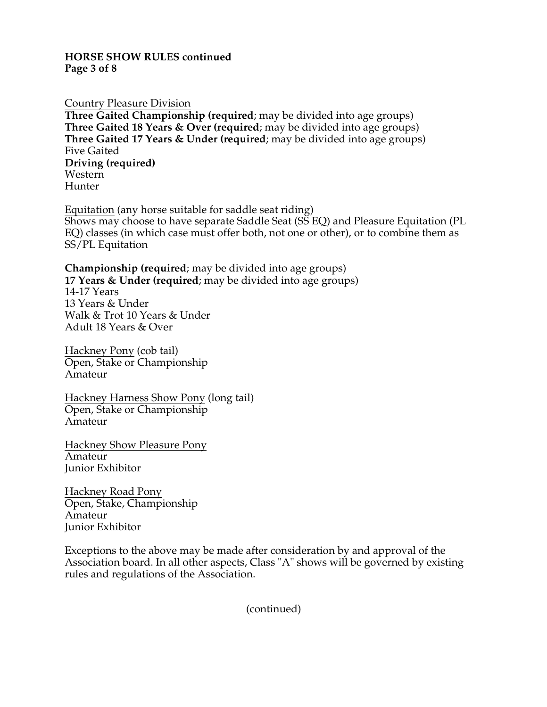### **HORSE SHOW RULES continued Page 3 of 8**

### Country Pleasure Division

**Three Gaited Championship (required**; may be divided into age groups) **Three Gaited 18 Years & Over (required**; may be divided into age groups) **Three Gaited 17 Years & Under (required**; may be divided into age groups) Five Gaited **Driving (required)** Western Hunter

Equitation (any horse suitable for saddle seat riding) Shows may choose to have separate Saddle Seat (SS EQ) and Pleasure Equitation (PL EQ) classes (in which case must offer both, not one or other), or to combine them as SS/PL Equitation

### **Championship (required**; may be divided into age groups)

**17 Years & Under (required**; may be divided into age groups) 14-17 Years 13 Years & Under Walk & Trot 10 Years & Under Adult 18 Years & Over

Hackney Pony (cob tail) Open, Stake or Championship Amateur

Hackney Harness Show Pony (long tail) Open, Stake or Championship Amateur

Hackney Show Pleasure Pony Amateur Junior Exhibitor

Hackney Road Pony Open, Stake, Championship Amateur Junior Exhibitor

Exceptions to the above may be made after consideration by and approval of the Association board. In all other aspects, Class "A" shows will be governed by existing rules and regulations of the Association.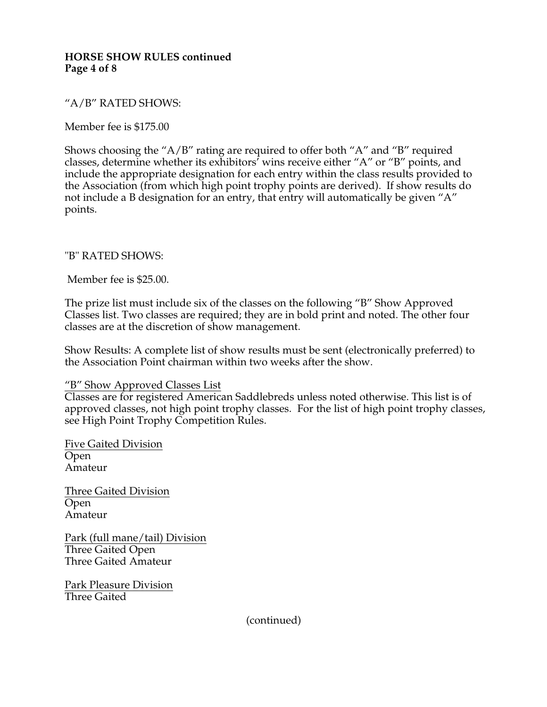### **HORSE SHOW RULES continued Page 4 of 8**

## "A/B" RATED SHOWS:

Member fee is \$175.00

Shows choosing the "A/B" rating are required to offer both "A" and "B" required classes, determine whether its exhibitors' wins receive either "A" or "B" points, and include the appropriate designation for each entry within the class results provided to the Association (from which high point trophy points are derived). If show results do not include a B designation for an entry, that entry will automatically be given "A" points.

## "B" RATED SHOWS:

Member fee is \$25.00.

The prize list must include six of the classes on the following "B" Show Approved Classes list. Two classes are required; they are in bold print and noted. The other four classes are at the discretion of show management.

Show Results: A complete list of show results must be sent (electronically preferred) to the Association Point chairman within two weeks after the show.

### "B" Show Approved Classes List

Classes are for registered American Saddlebreds unless noted otherwise. This list is of approved classes, not high point trophy classes. For the list of high point trophy classes, see High Point Trophy Competition Rules.

Five Gaited Division Open Amateur

Three Gaited Division Open Amateur

Park (full mane/tail) Division Three Gaited Open Three Gaited Amateur

Park Pleasure Division Three Gaited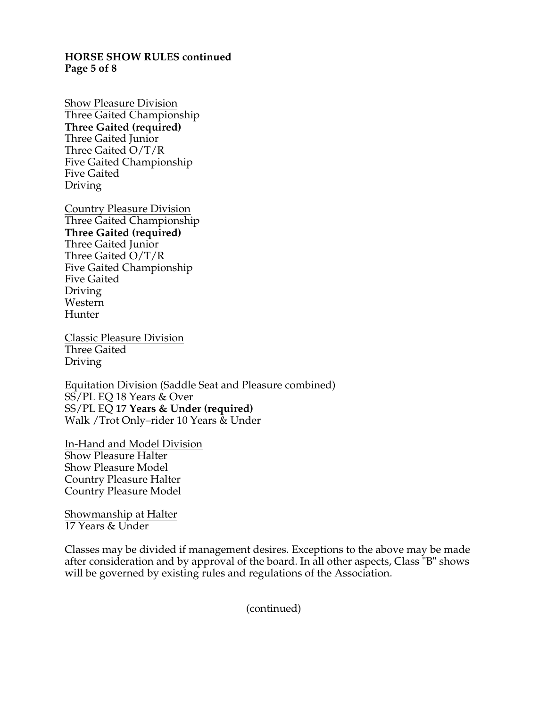#### **HORSE SHOW RULES continued Page 5 of 8**

Show Pleasure Division Three Gaited Championship **Three Gaited (required)** Three Gaited Junior Three Gaited O/T/R Five Gaited Championship Five Gaited Driving

Country Pleasure Division Three Gaited Championship **Three Gaited (required)** Three Gaited Junior Three Gaited O/T/R Five Gaited Championship Five Gaited Driving Western Hunter

Classic Pleasure Division Three Gaited Driving

Equitation Division (Saddle Seat and Pleasure combined) SS/PL EQ 18 Years & Over SS/PL EQ **17 Years & Under (required)** Walk /Trot Only–rider 10 Years & Under

In-Hand and Model Division Show Pleasure Halter Show Pleasure Model Country Pleasure Halter Country Pleasure Model

Showmanship at Halter 17 Years & Under

Classes may be divided if management desires. Exceptions to the above may be made after consideration and by approval of the board. In all other aspects, Class "B" shows will be governed by existing rules and regulations of the Association.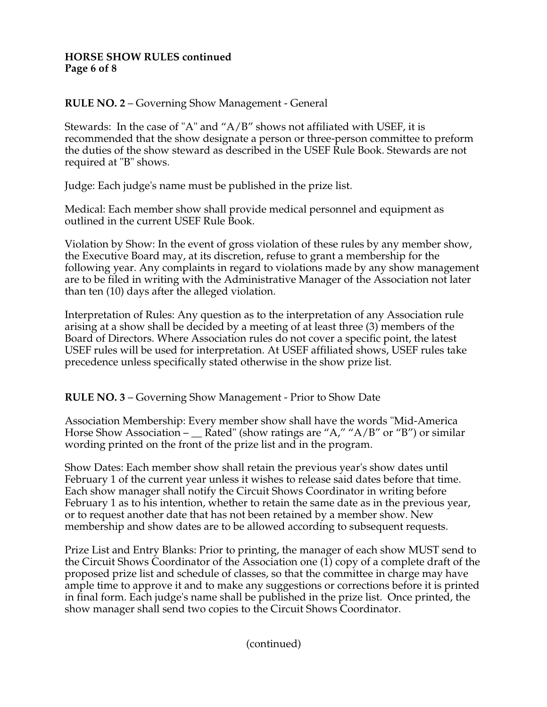### **HORSE SHOW RULES continued Page 6 of 8**

**RULE NO. 2** – Governing Show Management - General

Stewards: In the case of "A" and "A/B" shows not affiliated with USEF, it is recommended that the show designate a person or three-person committee to preform the duties of the show steward as described in the USEF Rule Book. Stewards are not required at "B" shows.

Judge: Each judge's name must be published in the prize list.

Medical: Each member show shall provide medical personnel and equipment as outlined in the current USEF Rule Book.

Violation by Show: In the event of gross violation of these rules by any member show, the Executive Board may, at its discretion, refuse to grant a membership for the following year. Any complaints in regard to violations made by any show management are to be filed in writing with the Administrative Manager of the Association not later than ten (10) days after the alleged violation.

Interpretation of Rules: Any question as to the interpretation of any Association rule arising at a show shall be decided by a meeting of at least three (3) members of the Board of Directors. Where Association rules do not cover a specific point, the latest USEF rules will be used for interpretation. At USEF affiliated shows, USEF rules take precedence unless specifically stated otherwise in the show prize list.

**RULE NO. 3** – Governing Show Management - Prior to Show Date

Association Membership: Every member show shall have the words "Mid-America Horse Show Association –  $\Gamma$  Rated" (show ratings are "A," "A/B" or "B") or similar wording printed on the front of the prize list and in the program.

Show Dates: Each member show shall retain the previous year's show dates until February 1 of the current year unless it wishes to release said dates before that time. Each show manager shall notify the Circuit Shows Coordinator in writing before February 1 as to his intention, whether to retain the same date as in the previous year, or to request another date that has not been retained by a member show. New membership and show dates are to be allowed according to subsequent requests.

Prize List and Entry Blanks: Prior to printing, the manager of each show MUST send to the Circuit Shows Coordinator of the Association one (1) copy of a complete draft of the proposed prize list and schedule of classes, so that the committee in charge may have ample time to approve it and to make any suggestions or corrections before it is printed in final form. Each judge's name shall be published in the prize list. Once printed, the show manager shall send two copies to the Circuit Shows Coordinator.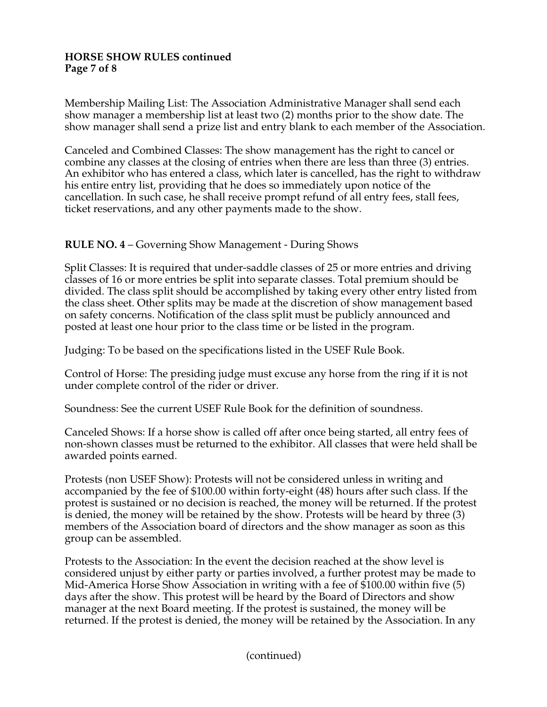### **HORSE SHOW RULES continued Page 7 of 8**

Membership Mailing List: The Association Administrative Manager shall send each show manager a membership list at least two (2) months prior to the show date. The show manager shall send a prize list and entry blank to each member of the Association.

Canceled and Combined Classes: The show management has the right to cancel or combine any classes at the closing of entries when there are less than three (3) entries. An exhibitor who has entered a class, which later is cancelled, has the right to withdraw his entire entry list, providing that he does so immediately upon notice of the cancellation. In such case, he shall receive prompt refund of all entry fees, stall fees, ticket reservations, and any other payments made to the show.

## **RULE NO. 4** – Governing Show Management - During Shows

Split Classes: It is required that under-saddle classes of 25 or more entries and driving classes of 16 or more entries be split into separate classes. Total premium should be divided. The class split should be accomplished by taking every other entry listed from the class sheet. Other splits may be made at the discretion of show management based on safety concerns. Notification of the class split must be publicly announced and posted at least one hour prior to the class time or be listed in the program.

Judging: To be based on the specifications listed in the USEF Rule Book.

Control of Horse: The presiding judge must excuse any horse from the ring if it is not under complete control of the rider or driver.

Soundness: See the current USEF Rule Book for the definition of soundness.

Canceled Shows: If a horse show is called off after once being started, all entry fees of non-shown classes must be returned to the exhibitor. All classes that were held shall be awarded points earned.

Protests (non USEF Show): Protests will not be considered unless in writing and accompanied by the fee of \$100.00 within forty-eight (48) hours after such class. If the protest is sustained or no decision is reached, the money will be returned. If the protest is denied, the money will be retained by the show. Protests will be heard by three (3) members of the Association board of directors and the show manager as soon as this group can be assembled.

Protests to the Association: In the event the decision reached at the show level is considered unjust by either party or parties involved, a further protest may be made to Mid-America Horse Show Association in writing with a fee of \$100.00 within five (5) days after the show. This protest will be heard by the Board of Directors and show manager at the next Board meeting. If the protest is sustained, the money will be returned. If the protest is denied, the money will be retained by the Association. In any